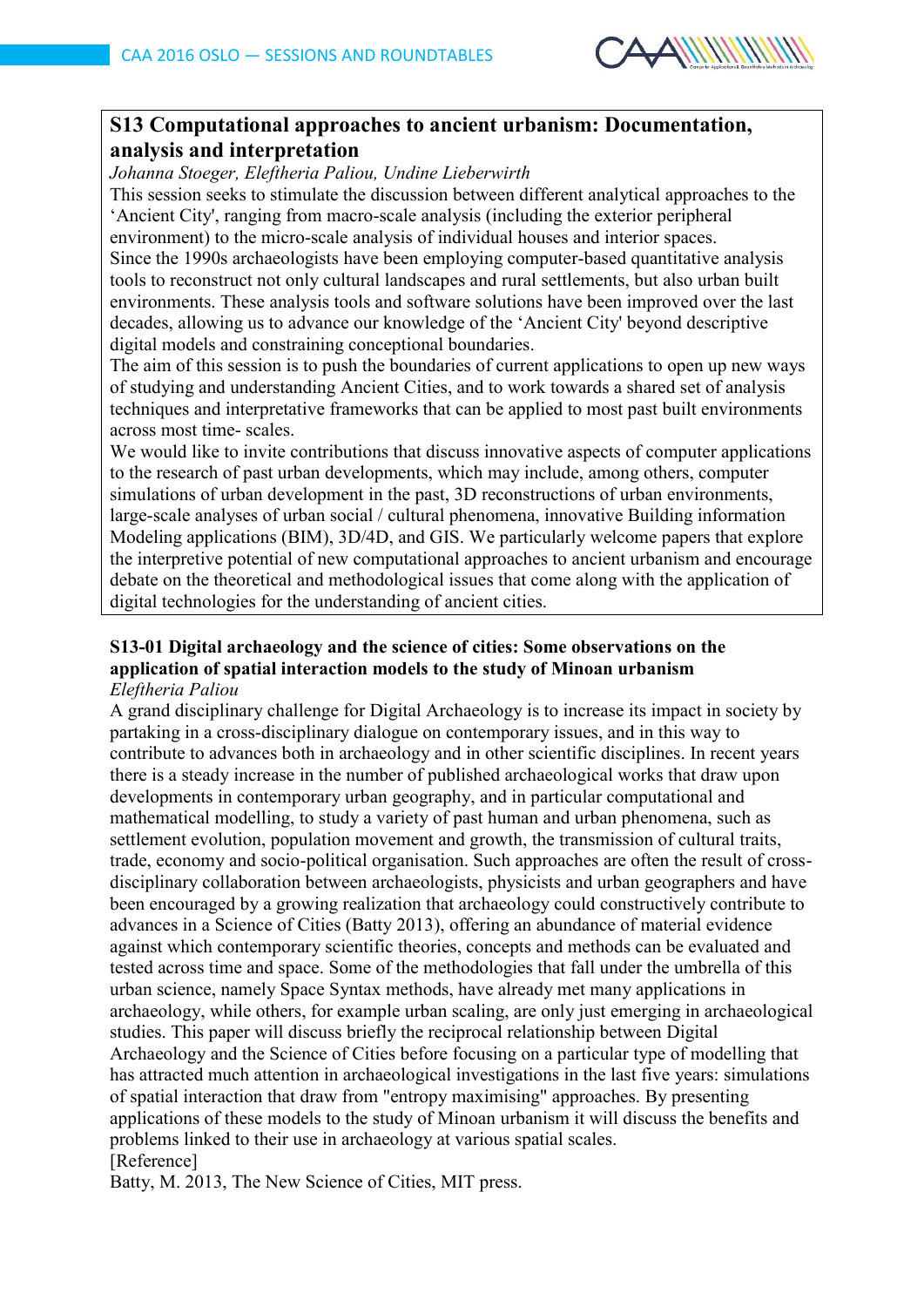

# **S13 Computational approaches to ancient urbanism: Documentation, analysis and interpretation**

*Johanna Stoeger, Eleftheria Paliou, Undine Lieberwirth* 

This session seeks to stimulate the discussion between different analytical approaches to the 'Ancient City', ranging from macro-scale analysis (including the exterior peripheral environment) to the micro-scale analysis of individual houses and interior spaces. Since the 1990s archaeologists have been employing computer-based quantitative analysis tools to reconstruct not only cultural landscapes and rural settlements, but also urban built environments. These analysis tools and software solutions have been improved over the last decades, allowing us to advance our knowledge of the 'Ancient City' beyond descriptive digital models and constraining conceptional boundaries.

The aim of this session is to push the boundaries of current applications to open up new ways of studying and understanding Ancient Cities, and to work towards a shared set of analysis techniques and interpretative frameworks that can be applied to most past built environments across most time- scales.

We would like to invite contributions that discuss innovative aspects of computer applications to the research of past urban developments, which may include, among others, computer simulations of urban development in the past, 3D reconstructions of urban environments, large-scale analyses of urban social / cultural phenomena, innovative Building information Modeling applications (BIM), 3D/4D, and GIS. We particularly welcome papers that explore the interpretive potential of new computational approaches to ancient urbanism and encourage debate on the theoretical and methodological issues that come along with the application of digital technologies for the understanding of ancient cities.

#### **S13-01 Digital archaeology and the science of cities: Some observations on the application of spatial interaction models to the study of Minoan urbanism** *Eleftheria Paliou*

A grand disciplinary challenge for Digital Archaeology is to increase its impact in society by partaking in a cross-disciplinary dialogue on contemporary issues, and in this way to contribute to advances both in archaeology and in other scientific disciplines. In recent years there is a steady increase in the number of published archaeological works that draw upon developments in contemporary urban geography, and in particular computational and mathematical modelling, to study a variety of past human and urban phenomena, such as settlement evolution, population movement and growth, the transmission of cultural traits, trade, economy and socio-political organisation. Such approaches are often the result of crossdisciplinary collaboration between archaeologists, physicists and urban geographers and have been encouraged by a growing realization that archaeology could constructively contribute to advances in a Science of Cities (Batty 2013), offering an abundance of material evidence against which contemporary scientific theories, concepts and methods can be evaluated and tested across time and space. Some of the methodologies that fall under the umbrella of this urban science, namely Space Syntax methods, have already met many applications in archaeology, while others, for example urban scaling, are only just emerging in archaeological studies. This paper will discuss briefly the reciprocal relationship between Digital Archaeology and the Science of Cities before focusing on a particular type of modelling that has attracted much attention in archaeological investigations in the last five years: simulations of spatial interaction that draw from "entropy maximising" approaches. By presenting applications of these models to the study of Minoan urbanism it will discuss the benefits and problems linked to their use in archaeology at various spatial scales. [Reference]

Batty, M. 2013, The New Science of Cities, MIT press.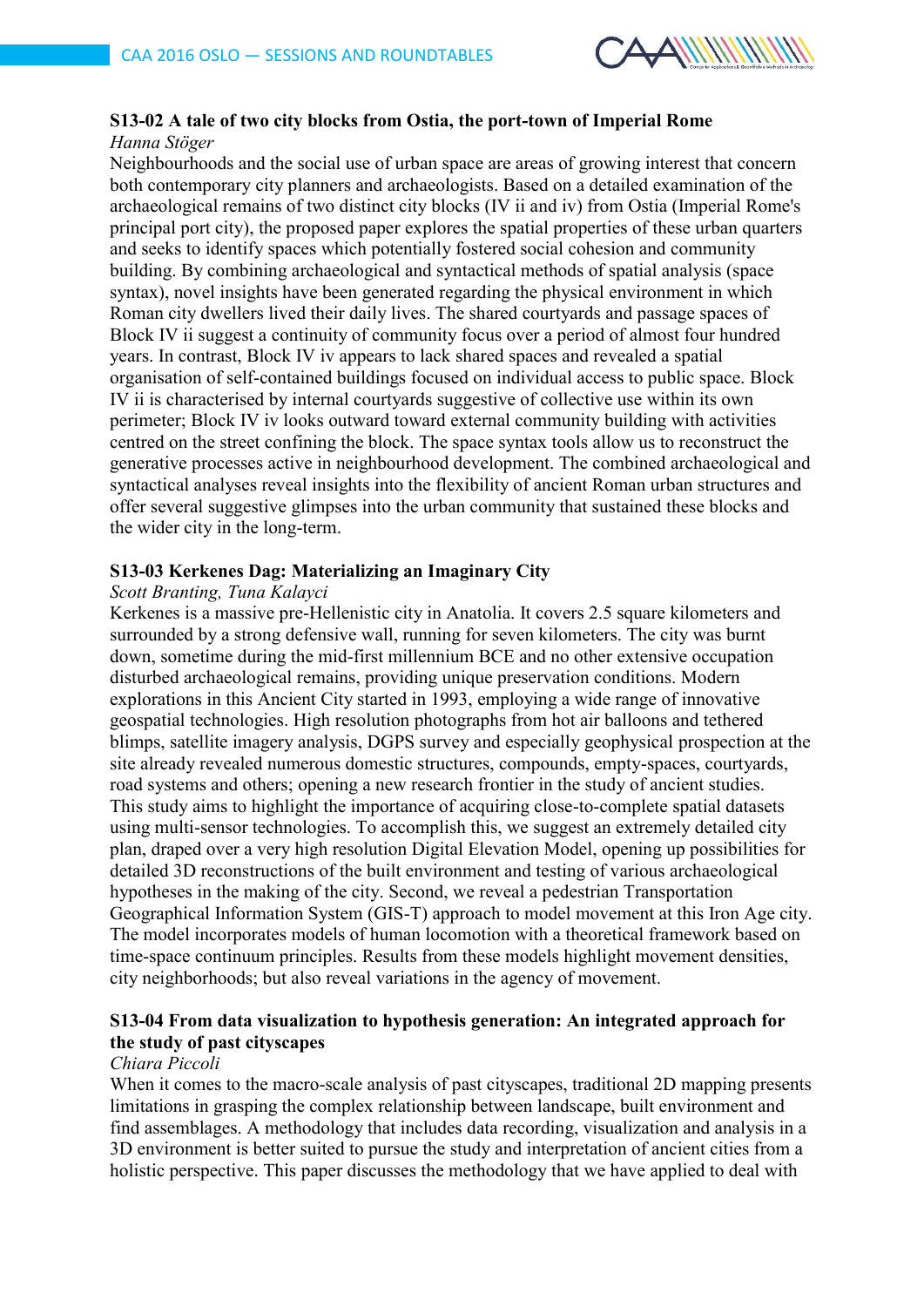

# **S13-02 A tale of two city blocks from Ostia, the port-town of Imperial Rome**

#### *Hanna Stöger*

Neighbourhoods and the social use of urban space are areas of growing interest that concern both contemporary city planners and archaeologists. Based on a detailed examination of the archaeological remains of two distinct city blocks (IV ii and iv) from Ostia (Imperial Rome's principal port city), the proposed paper explores the spatial properties of these urban quarters and seeks to identify spaces which potentially fostered social cohesion and community building. By combining archaeological and syntactical methods of spatial analysis (space syntax), novel insights have been generated regarding the physical environment in which Roman city dwellers lived their daily lives. The shared courtyards and passage spaces of Block IV ii suggest a continuity of community focus over a period of almost four hundred years. In contrast, Block IV iv appears to lack shared spaces and revealed a spatial organisation of self-contained buildings focused on individual access to public space. Block IV ii is characterised by internal courtyards suggestive of collective use within its own perimeter; Block IV iv looks outward toward external community building with activities centred on the street confining the block. The space syntax tools allow us to reconstruct the generative processes active in neighbourhood development. The combined archaeological and syntactical analyses reveal insights into the flexibility of ancient Roman urban structures and offer several suggestive glimpses into the urban community that sustained these blocks and the wider city in the long-term.

## **S13-03 Kerkenes Dag: Materializing an Imaginary City**

## *Scott Branting, Tuna Kalayci*

Kerkenes is a massive pre-Hellenistic city in Anatolia. It covers 2.5 square kilometers and surrounded by a strong defensive wall, running for seven kilometers. The city was burnt down, sometime during the mid-first millennium BCE and no other extensive occupation disturbed archaeological remains, providing unique preservation conditions. Modern explorations in this Ancient City started in 1993, employing a wide range of innovative geospatial technologies. High resolution photographs from hot air balloons and tethered blimps, satellite imagery analysis, DGPS survey and especially geophysical prospection at the site already revealed numerous domestic structures, compounds, empty-spaces, courtyards, road systems and others; opening a new research frontier in the study of ancient studies. This study aims to highlight the importance of acquiring close-to-complete spatial datasets using multi-sensor technologies. To accomplish this, we suggest an extremely detailed city plan, draped over a very high resolution Digital Elevation Model, opening up possibilities for detailed 3D reconstructions of the built environment and testing of various archaeological hypotheses in the making of the city. Second, we reveal a pedestrian Transportation Geographical Information System (GIS-T) approach to model movement at this Iron Age city. The model incorporates models of human locomotion with a theoretical framework based on time-space continuum principles. Results from these models highlight movement densities, city neighborhoods; but also reveal variations in the agency of movement.

## **S13-04 From data visualization to hypothesis generation: An integrated approach for the study of past cityscapes**

## *Chiara Piccoli*

When it comes to the macro-scale analysis of past cityscapes, traditional 2D mapping presents limitations in grasping the complex relationship between landscape, built environment and find assemblages. A methodology that includes data recording, visualization and analysis in a 3D environment is better suited to pursue the study and interpretation of ancient cities from a holistic perspective. This paper discusses the methodology that we have applied to deal with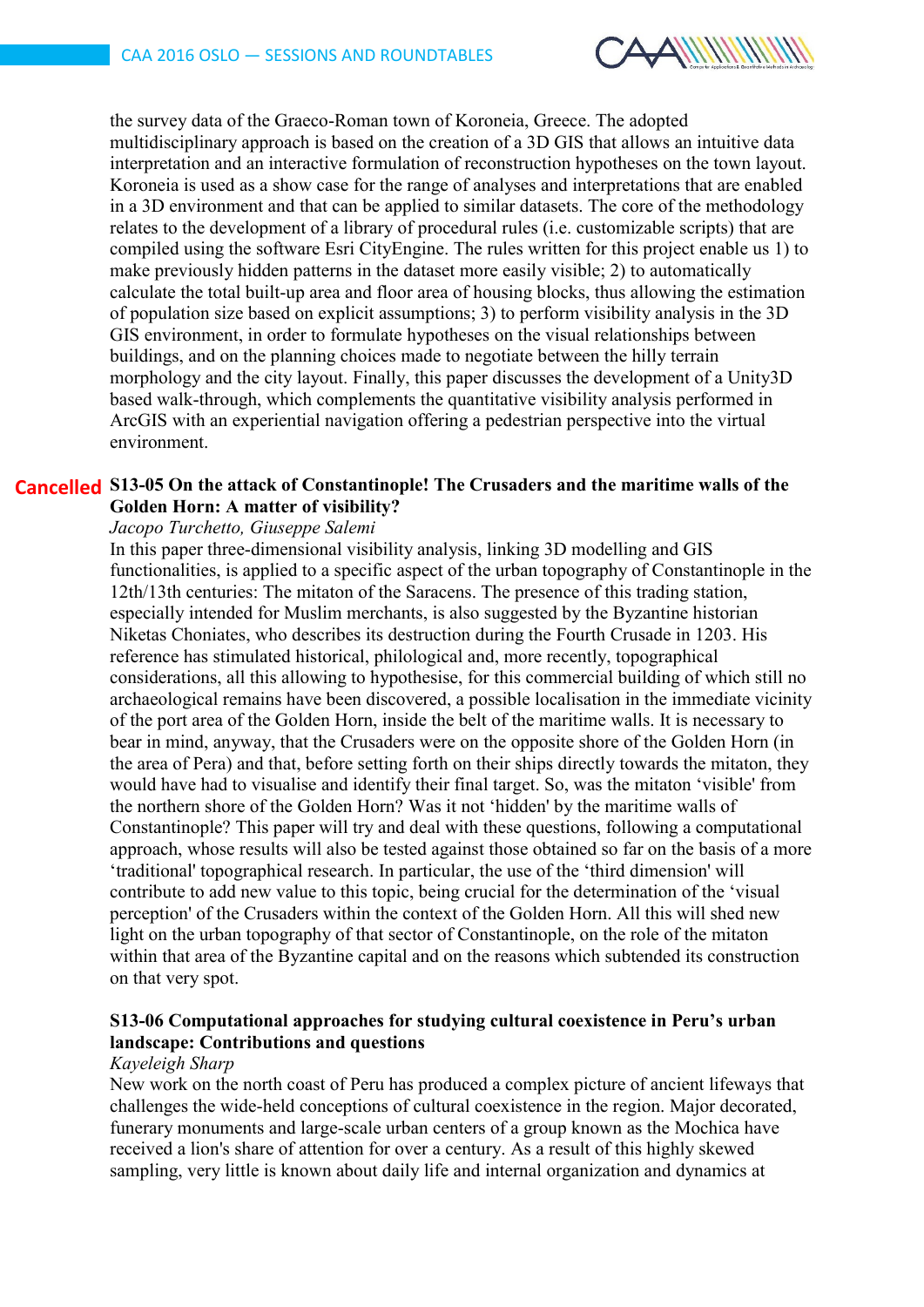

the survey data of the Graeco-Roman town of Koroneia, Greece. The adopted multidisciplinary approach is based on the creation of a 3D GIS that allows an intuitive data interpretation and an interactive formulation of reconstruction hypotheses on the town layout. Koroneia is used as a show case for the range of analyses and interpretations that are enabled in a 3D environment and that can be applied to similar datasets. The core of the methodology relates to the development of a library of procedural rules (i.e. customizable scripts) that are compiled using the software Esri CityEngine. The rules written for this project enable us 1) to make previously hidden patterns in the dataset more easily visible; 2) to automatically calculate the total built-up area and floor area of housing blocks, thus allowing the estimation of population size based on explicit assumptions; 3) to perform visibility analysis in the 3D GIS environment, in order to formulate hypotheses on the visual relationships between buildings, and on the planning choices made to negotiate between the hilly terrain morphology and the city layout. Finally, this paper discusses the development of a Unity3D based walk-through, which complements the quantitative visibility analysis performed in ArcGIS with an experiential navigation offering a pedestrian perspective into the virtual environment.

#### **S13-05 On the attack of Constantinople! The Crusaders and the maritime walls of the CancelledGolden Horn: A matter of visibility?**

#### *Jacopo Turchetto, Giuseppe Salemi*

In this paper three-dimensional visibility analysis, linking 3D modelling and GIS functionalities, is applied to a specific aspect of the urban topography of Constantinople in the 12th/13th centuries: The mitaton of the Saracens. The presence of this trading station, especially intended for Muslim merchants, is also suggested by the Byzantine historian Niketas Choniates, who describes its destruction during the Fourth Crusade in 1203. His reference has stimulated historical, philological and, more recently, topographical considerations, all this allowing to hypothesise, for this commercial building of which still no archaeological remains have been discovered, a possible localisation in the immediate vicinity of the port area of the Golden Horn, inside the belt of the maritime walls. It is necessary to bear in mind, anyway, that the Crusaders were on the opposite shore of the Golden Horn (in the area of Pera) and that, before setting forth on their ships directly towards the mitaton, they would have had to visualise and identify their final target. So, was the mitaton 'visible' from the northern shore of the Golden Horn? Was it not 'hidden' by the maritime walls of Constantinople? This paper will try and deal with these questions, following a computational approach, whose results will also be tested against those obtained so far on the basis of a more 'traditional' topographical research. In particular, the use of the 'third dimension' will contribute to add new value to this topic, being crucial for the determination of the 'visual perception' of the Crusaders within the context of the Golden Horn. All this will shed new light on the urban topography of that sector of Constantinople, on the role of the mitaton within that area of the Byzantine capital and on the reasons which subtended its construction on that very spot.

#### **S13-06 Computational approaches for studying cultural coexistence in Peru's urban landscape: Contributions and questions**

#### *Kayeleigh Sharp*

New work on the north coast of Peru has produced a complex picture of ancient lifeways that challenges the wide-held conceptions of cultural coexistence in the region. Major decorated, funerary monuments and large-scale urban centers of a group known as the Mochica have received a lion's share of attention for over a century. As a result of this highly skewed sampling, very little is known about daily life and internal organization and dynamics at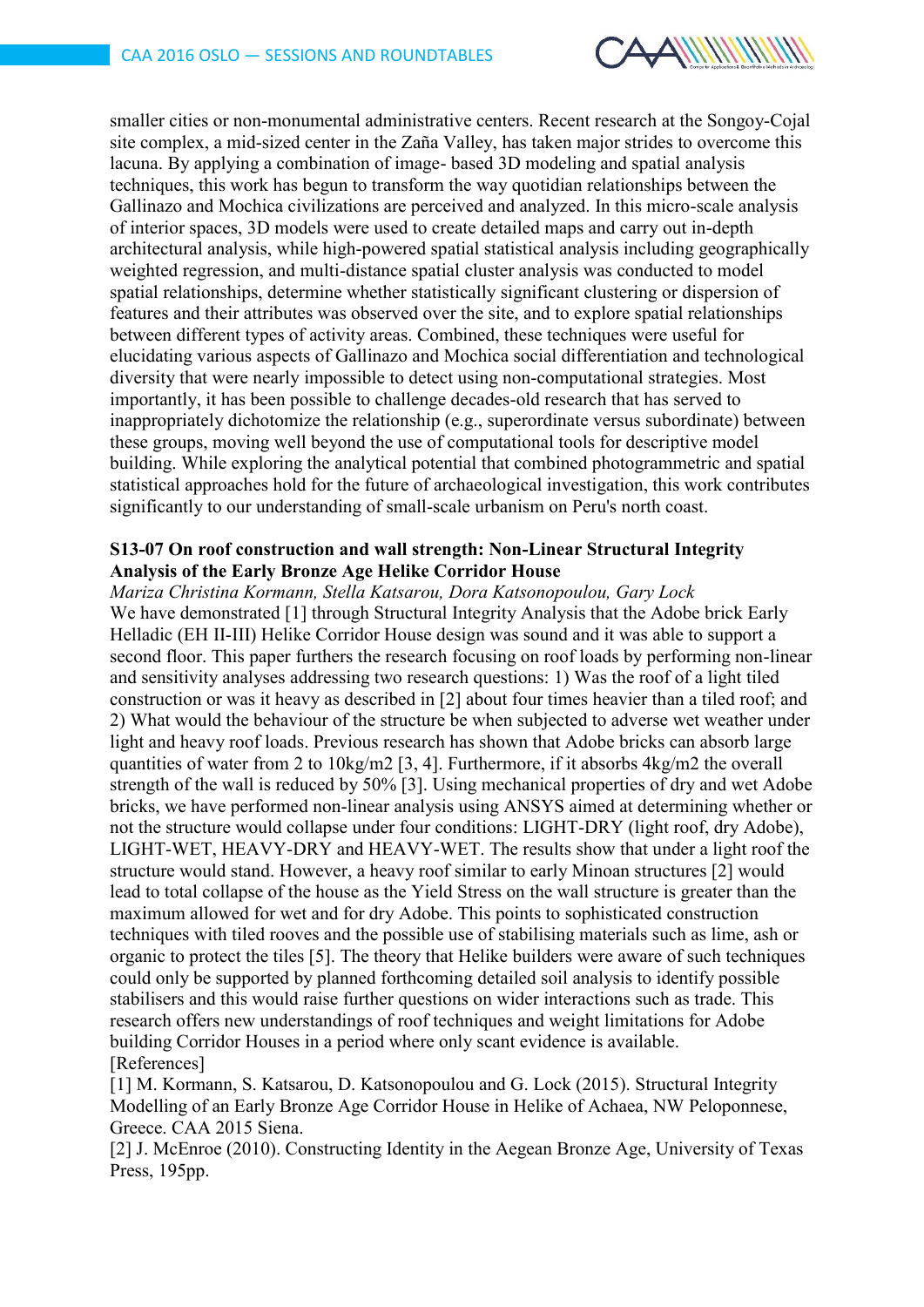

smaller cities or non-monumental administrative centers. Recent research at the Songoy-Cojal site complex, a mid-sized center in the Zaña Valley, has taken major strides to overcome this lacuna. By applying a combination of image- based 3D modeling and spatial analysis techniques, this work has begun to transform the way quotidian relationships between the Gallinazo and Mochica civilizations are perceived and analyzed. In this micro-scale analysis of interior spaces, 3D models were used to create detailed maps and carry out in-depth architectural analysis, while high-powered spatial statistical analysis including geographically weighted regression, and multi-distance spatial cluster analysis was conducted to model spatial relationships, determine whether statistically significant clustering or dispersion of features and their attributes was observed over the site, and to explore spatial relationships between different types of activity areas. Combined, these techniques were useful for elucidating various aspects of Gallinazo and Mochica social differentiation and technological diversity that were nearly impossible to detect using non-computational strategies. Most importantly, it has been possible to challenge decades-old research that has served to inappropriately dichotomize the relationship (e.g., superordinate versus subordinate) between these groups, moving well beyond the use of computational tools for descriptive model building. While exploring the analytical potential that combined photogrammetric and spatial statistical approaches hold for the future of archaeological investigation, this work contributes significantly to our understanding of small-scale urbanism on Peru's north coast.

#### **S13-07 On roof construction and wall strength: Non-Linear Structural Integrity Analysis of the Early Bronze Age Helike Corridor House**

*Mariza Christina Kormann, Stella Katsarou, Dora Katsonopoulou, Gary Lock* We have demonstrated [1] through Structural Integrity Analysis that the Adobe brick Early Helladic (EH II-III) Helike Corridor House design was sound and it was able to support a second floor. This paper furthers the research focusing on roof loads by performing non-linear and sensitivity analyses addressing two research questions: 1) Was the roof of a light tiled construction or was it heavy as described in [2] about four times heavier than a tiled roof; and 2) What would the behaviour of the structure be when subjected to adverse wet weather under light and heavy roof loads. Previous research has shown that Adobe bricks can absorb large quantities of water from 2 to 10kg/m2 [3, 4]. Furthermore, if it absorbs 4kg/m2 the overall strength of the wall is reduced by 50% [3]. Using mechanical properties of dry and wet Adobe bricks, we have performed non-linear analysis using ANSYS aimed at determining whether or not the structure would collapse under four conditions: LIGHT-DRY (light roof, dry Adobe), LIGHT-WET, HEAVY-DRY and HEAVY-WET. The results show that under a light roof the structure would stand. However, a heavy roof similar to early Minoan structures [2] would lead to total collapse of the house as the Yield Stress on the wall structure is greater than the maximum allowed for wet and for dry Adobe. This points to sophisticated construction techniques with tiled rooves and the possible use of stabilising materials such as lime, ash or organic to protect the tiles [5]. The theory that Helike builders were aware of such techniques could only be supported by planned forthcoming detailed soil analysis to identify possible stabilisers and this would raise further questions on wider interactions such as trade. This research offers new understandings of roof techniques and weight limitations for Adobe building Corridor Houses in a period where only scant evidence is available. [References]

[1] M. Kormann, S. Katsarou, D. Katsonopoulou and G. Lock (2015). Structural Integrity Modelling of an Early Bronze Age Corridor House in Helike of Achaea, NW Peloponnese, Greece. CAA 2015 Siena.

[2] J. McEnroe (2010). Constructing Identity in the Aegean Bronze Age, University of Texas Press, 195pp.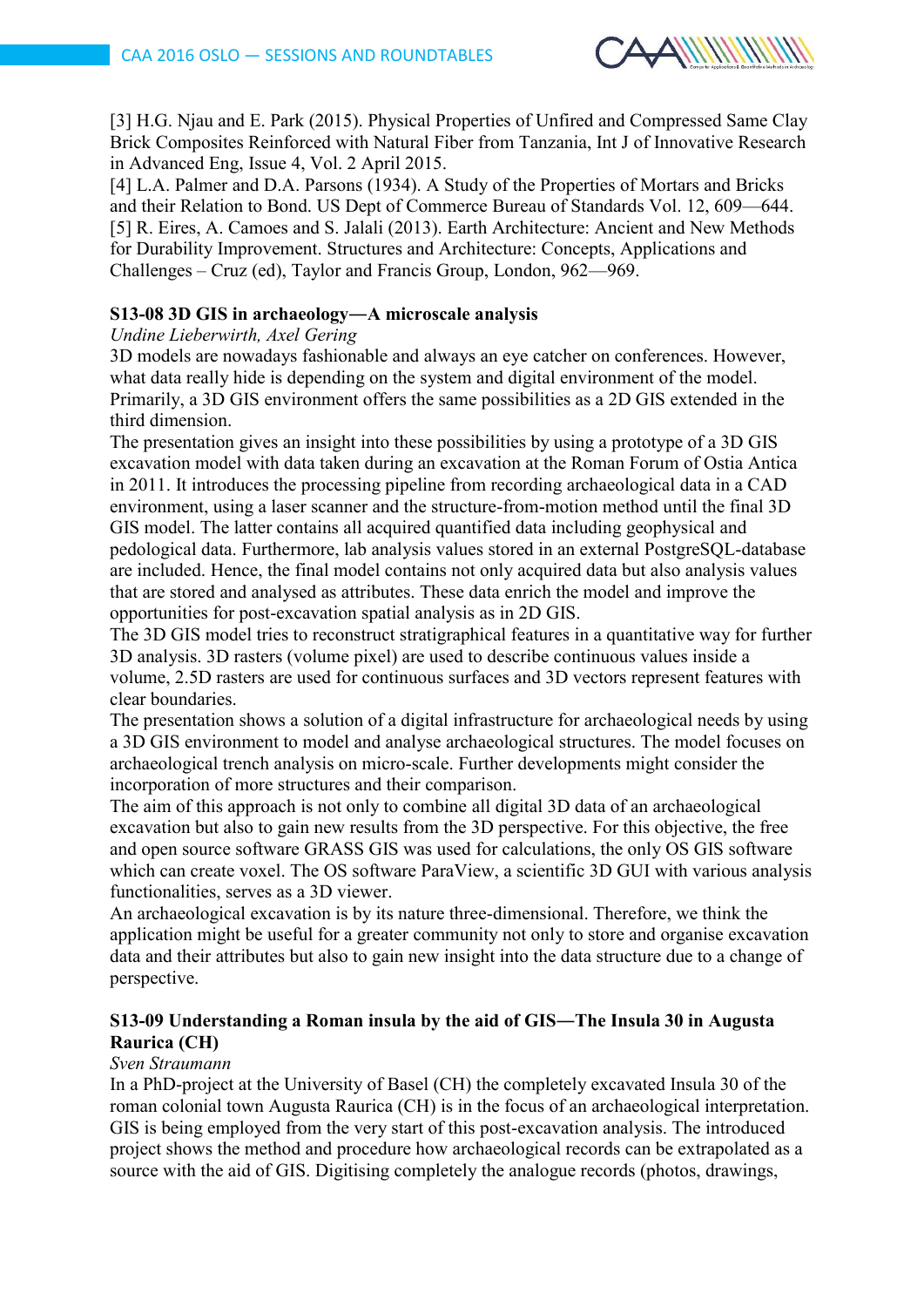

[3] H.G. Njau and E. Park (2015). Physical Properties of Unfired and Compressed Same Clay Brick Composites Reinforced with Natural Fiber from Tanzania, Int J of Innovative Research in Advanced Eng, Issue 4, Vol. 2 April 2015.

[4] L.A. Palmer and D.A. Parsons (1934). A Study of the Properties of Mortars and Bricks and their Relation to Bond. US Dept of Commerce Bureau of Standards Vol. 12, 609—644. [5] R. Eires, A. Camoes and S. Jalali (2013). Earth Architecture: Ancient and New Methods for Durability Improvement. Structures and Architecture: Concepts, Applications and Challenges – Cruz (ed), Taylor and Francis Group, London, 962—969.

## **S13-08 3D GIS in archaeology―A microscale analysis**

#### *Undine Lieberwirth, Axel Gering*

3D models are nowadays fashionable and always an eye catcher on conferences. However, what data really hide is depending on the system and digital environment of the model. Primarily, a 3D GIS environment offers the same possibilities as a 2D GIS extended in the third dimension.

The presentation gives an insight into these possibilities by using a prototype of a 3D GIS excavation model with data taken during an excavation at the Roman Forum of Ostia Antica in 2011. It introduces the processing pipeline from recording archaeological data in a CAD environment, using a laser scanner and the structure-from-motion method until the final 3D GIS model. The latter contains all acquired quantified data including geophysical and pedological data. Furthermore, lab analysis values stored in an external PostgreSQL-database are included. Hence, the final model contains not only acquired data but also analysis values that are stored and analysed as attributes. These data enrich the model and improve the opportunities for post-excavation spatial analysis as in 2D GIS.

The 3D GIS model tries to reconstruct stratigraphical features in a quantitative way for further 3D analysis. 3D rasters (volume pixel) are used to describe continuous values inside a volume, 2.5D rasters are used for continuous surfaces and 3D vectors represent features with clear boundaries.

The presentation shows a solution of a digital infrastructure for archaeological needs by using a 3D GIS environment to model and analyse archaeological structures. The model focuses on archaeological trench analysis on micro-scale. Further developments might consider the incorporation of more structures and their comparison.

The aim of this approach is not only to combine all digital 3D data of an archaeological excavation but also to gain new results from the 3D perspective. For this objective, the free and open source software GRASS GIS was used for calculations, the only OS GIS software which can create voxel. The OS software ParaView, a scientific 3D GUI with various analysis functionalities, serves as a 3D viewer.

An archaeological excavation is by its nature three-dimensional. Therefore, we think the application might be useful for a greater community not only to store and organise excavation data and their attributes but also to gain new insight into the data structure due to a change of perspective.

## **S13-09 Understanding a Roman insula by the aid of GIS―The Insula 30 in Augusta Raurica (CH)**

#### *Sven Straumann*

In a PhD-project at the University of Basel (CH) the completely excavated Insula 30 of the roman colonial town Augusta Raurica (CH) is in the focus of an archaeological interpretation. GIS is being employed from the very start of this post-excavation analysis. The introduced project shows the method and procedure how archaeological records can be extrapolated as a source with the aid of GIS. Digitising completely the analogue records (photos, drawings,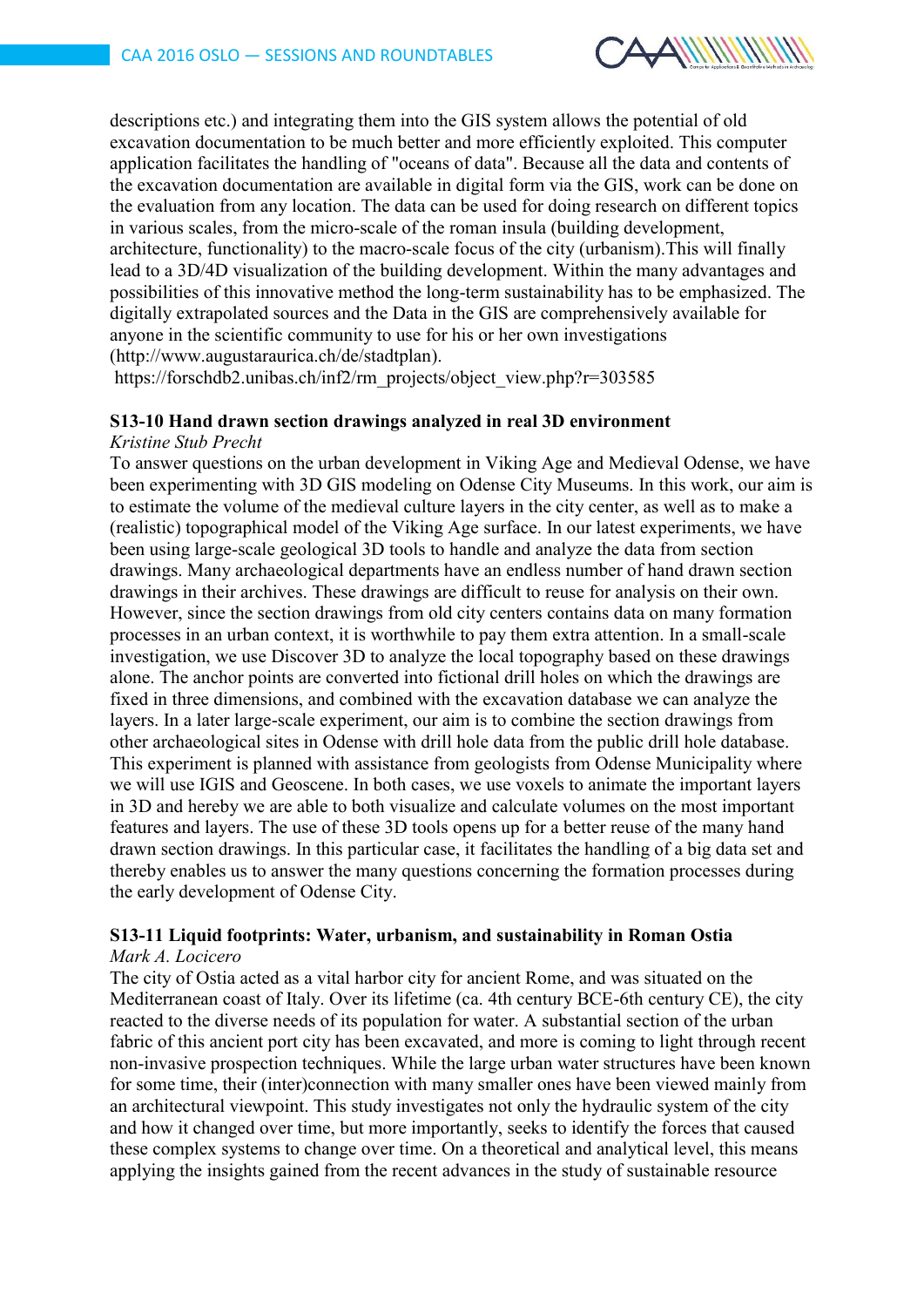

descriptions etc.) and integrating them into the GIS system allows the potential of old excavation documentation to be much better and more efficiently exploited. This computer application facilitates the handling of "oceans of data". Because all the data and contents of the excavation documentation are available in digital form via the GIS, work can be done on the evaluation from any location. The data can be used for doing research on different topics in various scales, from the micro-scale of the roman insula (building development, architecture, functionality) to the macro-scale focus of the city (urbanism).This will finally lead to a 3D/4D visualization of the building development. Within the many advantages and possibilities of this innovative method the long-term sustainability has to be emphasized. The digitally extrapolated sources and the Data in the GIS are comprehensively available for anyone in the scientific community to use for his or her own investigations (http://www.augustaraurica.ch/de/stadtplan).

https://forschdb2.unibas.ch/inf2/rm\_projects/object\_view.php?r=303585

#### **S13-10 Hand drawn section drawings analyzed in real 3D environment** *Kristine Stub Precht*

To answer questions on the urban development in Viking Age and Medieval Odense, we have been experimenting with 3D GIS modeling on Odense City Museums. In this work, our aim is to estimate the volume of the medieval culture layers in the city center, as well as to make a (realistic) topographical model of the Viking Age surface. In our latest experiments, we have been using large-scale geological 3D tools to handle and analyze the data from section drawings. Many archaeological departments have an endless number of hand drawn section drawings in their archives. These drawings are difficult to reuse for analysis on their own. However, since the section drawings from old city centers contains data on many formation processes in an urban context, it is worthwhile to pay them extra attention. In a small-scale investigation, we use Discover 3D to analyze the local topography based on these drawings alone. The anchor points are converted into fictional drill holes on which the drawings are fixed in three dimensions, and combined with the excavation database we can analyze the layers. In a later large-scale experiment, our aim is to combine the section drawings from other archaeological sites in Odense with drill hole data from the public drill hole database. This experiment is planned with assistance from geologists from Odense Municipality where we will use IGIS and Geoscene. In both cases, we use voxels to animate the important layers in 3D and hereby we are able to both visualize and calculate volumes on the most important features and layers. The use of these 3D tools opens up for a better reuse of the many hand drawn section drawings. In this particular case, it facilitates the handling of a big data set and thereby enables us to answer the many questions concerning the formation processes during the early development of Odense City.

# **S13-11 Liquid footprints: Water, urbanism, and sustainability in Roman Ostia**

# *Mark A. Locicero*

The city of Ostia acted as a vital harbor city for ancient Rome, and was situated on the Mediterranean coast of Italy. Over its lifetime (ca. 4th century BCE-6th century CE), the city reacted to the diverse needs of its population for water. A substantial section of the urban fabric of this ancient port city has been excavated, and more is coming to light through recent non-invasive prospection techniques. While the large urban water structures have been known for some time, their (inter)connection with many smaller ones have been viewed mainly from an architectural viewpoint. This study investigates not only the hydraulic system of the city and how it changed over time, but more importantly, seeks to identify the forces that caused these complex systems to change over time. On a theoretical and analytical level, this means applying the insights gained from the recent advances in the study of sustainable resource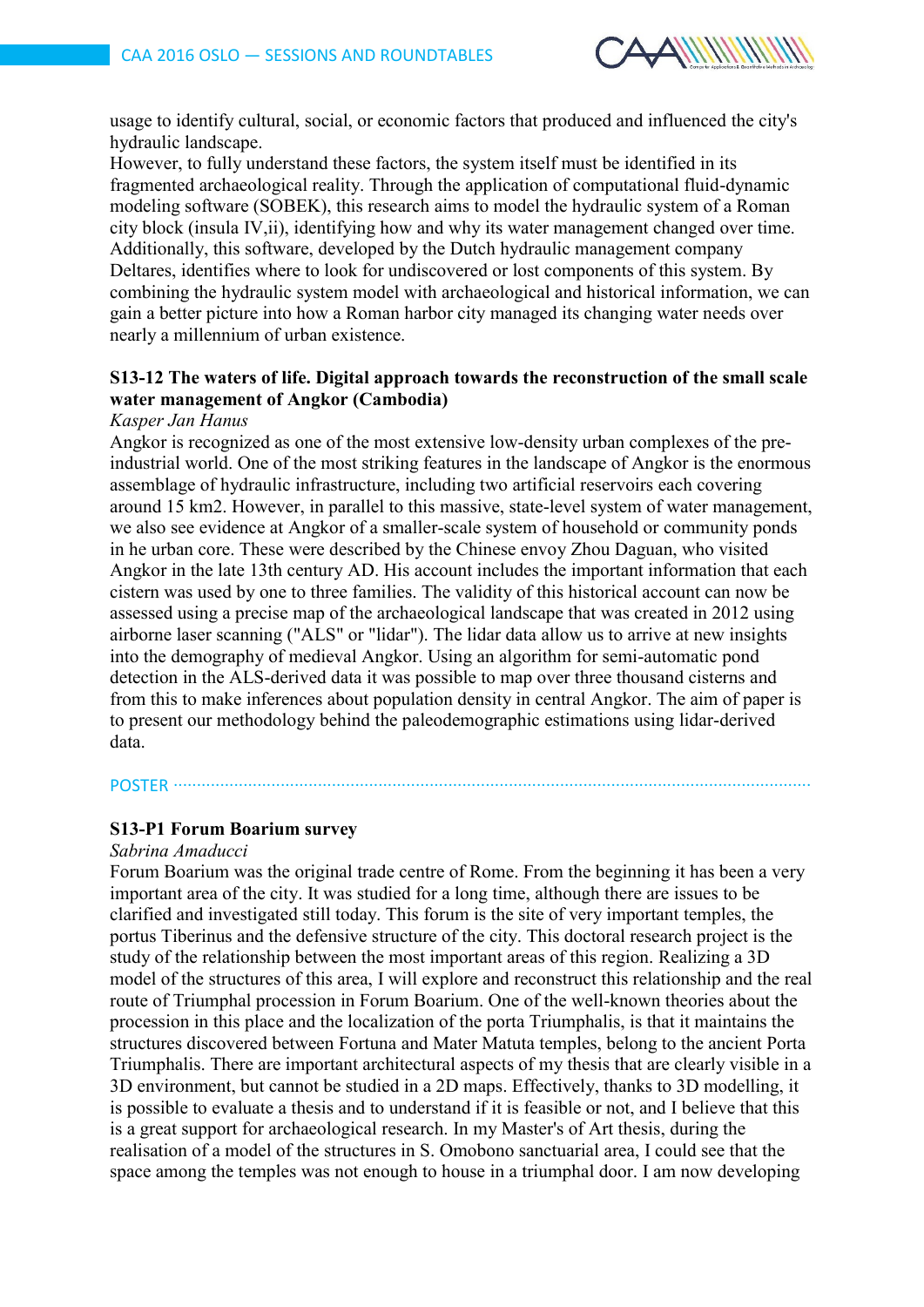

usage to identify cultural, social, or economic factors that produced and influenced the city's hydraulic landscape.

However, to fully understand these factors, the system itself must be identified in its fragmented archaeological reality. Through the application of computational fluid-dynamic modeling software (SOBEK), this research aims to model the hydraulic system of a Roman city block (insula IV,ii), identifying how and why its water management changed over time. Additionally, this software, developed by the Dutch hydraulic management company Deltares, identifies where to look for undiscovered or lost components of this system. By combining the hydraulic system model with archaeological and historical information, we can gain a better picture into how a Roman harbor city managed its changing water needs over nearly a millennium of urban existence.

# **S13-12 The waters of life. Digital approach towards the reconstruction of the small scale water management of Angkor (Cambodia)**

#### *Kasper Jan Hanus*

Angkor is recognized as one of the most extensive low-density urban complexes of the preindustrial world. One of the most striking features in the landscape of Angkor is the enormous assemblage of hydraulic infrastructure, including two artificial reservoirs each covering around 15 km2. However, in parallel to this massive, state-level system of water management, we also see evidence at Angkor of a smaller-scale system of household or community ponds in he urban core. These were described by the Chinese envoy Zhou Daguan, who visited Angkor in the late 13th century AD. His account includes the important information that each cistern was used by one to three families. The validity of this historical account can now be assessed using a precise map of the archaeological landscape that was created in 2012 using airborne laser scanning ("ALS" or "lidar"). The lidar data allow us to arrive at new insights into the demography of medieval Angkor. Using an algorithm for semi-automatic pond detection in the ALS-derived data it was possible to map over three thousand cisterns and from this to make inferences about population density in central Angkor. The aim of paper is to present our methodology behind the paleodemographic estimations using lidar-derived data.

POSTER ∙∙∙∙∙∙∙∙∙∙∙∙∙∙∙∙∙∙∙∙∙∙∙∙∙∙∙∙∙∙∙∙∙∙∙∙∙∙∙∙∙∙∙∙∙∙∙∙∙∙∙∙∙∙∙∙∙∙∙∙∙∙∙∙∙∙∙∙∙∙∙∙∙∙∙∙∙∙∙∙∙∙∙∙∙∙∙∙∙∙∙∙∙∙∙∙∙∙∙∙∙∙∙∙∙∙∙∙∙∙∙∙∙∙∙∙∙∙∙∙∙∙∙∙∙∙∙∙∙∙∙∙∙∙∙∙∙

#### **S13-P1 Forum Boarium survey**

#### *Sabrina Amaducci*

Forum Boarium was the original trade centre of Rome. From the beginning it has been a very important area of the city. It was studied for a long time, although there are issues to be clarified and investigated still today. This forum is the site of very important temples, the portus Tiberinus and the defensive structure of the city. This doctoral research project is the study of the relationship between the most important areas of this region. Realizing a 3D model of the structures of this area, I will explore and reconstruct this relationship and the real route of Triumphal procession in Forum Boarium. One of the well-known theories about the procession in this place and the localization of the porta Triumphalis, is that it maintains the structures discovered between Fortuna and Mater Matuta temples, belong to the ancient Porta Triumphalis. There are important architectural aspects of my thesis that are clearly visible in a 3D environment, but cannot be studied in a 2D maps. Effectively, thanks to 3D modelling, it is possible to evaluate a thesis and to understand if it is feasible or not, and I believe that this is a great support for archaeological research. In my Master's of Art thesis, during the realisation of a model of the structures in S. Omobono sanctuarial area, I could see that the space among the temples was not enough to house in a triumphal door. I am now developing